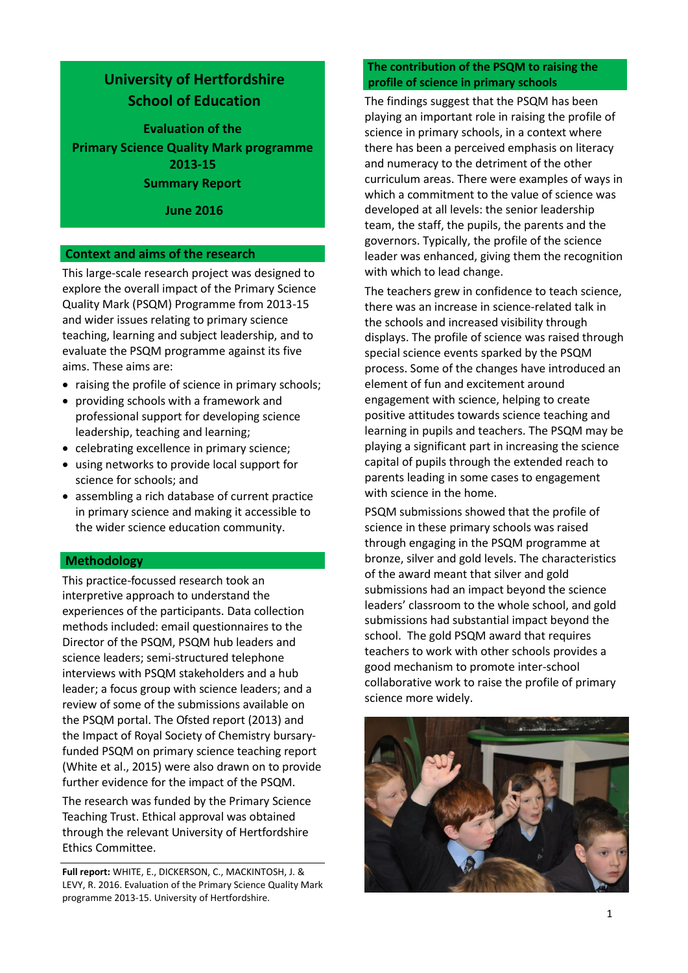# **University of Hertfordshire School of Education**

**Evaluation of the Primary Science Quality Mark programme 2013-15 Summary Report**

### **June 2016**

#### **Context and aims of the research**

This large-scale research project was designed to explore the overall impact of the Primary Science Quality Mark (PSQM) Programme from 2013-15 and wider issues relating to primary science teaching, learning and subject leadership, and to evaluate the PSQM programme against its five aims. These aims are:

- raising the profile of science in primary schools;
- providing schools with a framework and professional support for developing science leadership, teaching and learning;
- celebrating excellence in primary science;
- using networks to provide local support for science for schools; and
- assembling a rich database of current practice in primary science and making it accessible to the wider science education community.

#### **Methodology**

This practice-focussed research took an interpretive approach to understand the experiences of the participants. Data collection methods included: email questionnaires to the Director of the PSQM, PSQM hub leaders and science leaders; semi-structured telephone interviews with PSQM stakeholders and a hub leader; a focus group with science leaders; and a review of some of the submissions available on the PSQM portal. The Ofsted report (2013) and the Impact of Royal Society of Chemistry bursaryfunded PSQM on primary science teaching report (White et al., 2015) were also drawn on to provide further evidence for the impact of the PSQM.

The research was funded by the Primary Science Teaching Trust. Ethical approval was obtained through the relevant University of Hertfordshire Ethics Committee.

**Full report:** WHITE, E., DICKERSON, C., MACKINTOSH, J. & LEVY, R. 2016. Evaluation of the Primary Science Quality Mark programme 2013-15. University of Hertfordshire.

### **The contribution of the PSQM to raising the profile of science in primary schools**

The findings suggest that the PSQM has been playing an important role in raising the profile of science in primary schools, in a context where there has been a perceived emphasis on literacy and numeracy to the detriment of the other curriculum areas. There were examples of ways in which a commitment to the value of science was developed at all levels: the senior leadership team, the staff, the pupils, the parents and the governors. Typically, the profile of the science leader was enhanced, giving them the recognition with which to lead change.

The teachers grew in confidence to teach science, there was an increase in science-related talk in the schools and increased visibility through displays. The profile of science was raised through special science events sparked by the PSQM process. Some of the changes have introduced an element of fun and excitement around engagement with science, helping to create positive attitudes towards science teaching and learning in pupils and teachers. The PSQM may be playing a significant part in increasing the science capital of pupils through the extended reach to parents leading in some cases to engagement with science in the home.

PSQM submissions showed that the profile of science in these primary schools was raised through engaging in the PSQM programme at bronze, silver and gold levels. The characteristics of the award meant that silver and gold submissions had an impact beyond the science leaders' classroom to the whole school, and gold submissions had substantial impact beyond the school. The gold PSQM award that requires teachers to work with other schools provides a good mechanism to promote inter-school collaborative work to raise the profile of primary science more widely.

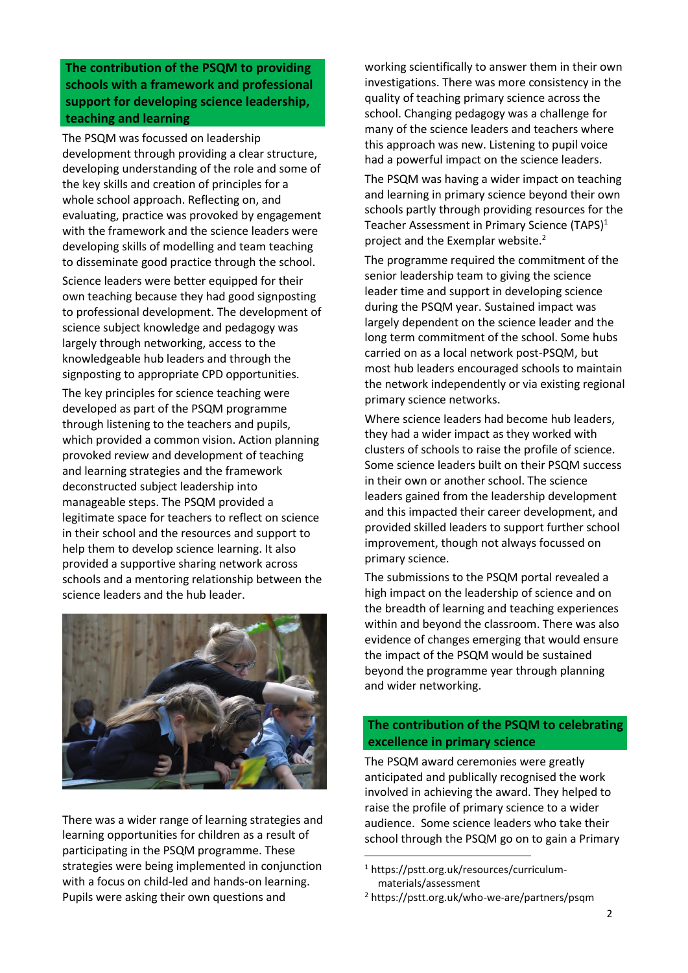**The contribution of the PSQM to providing schools with a framework and professional support for developing science leadership, teaching and learning**

The PSQM was focussed on leadership development through providing a clear structure, developing understanding of the role and some of the key skills and creation of principles for a whole school approach. Reflecting on, and evaluating, practice was provoked by engagement with the framework and the science leaders were developing skills of modelling and team teaching to disseminate good practice through the school.

Science leaders were better equipped for their own teaching because they had good signposting to professional development. The development of science subject knowledge and pedagogy was largely through networking, access to the knowledgeable hub leaders and through the signposting to appropriate CPD opportunities.

The key principles for science teaching were developed as part of the PSQM programme through listening to the teachers and pupils, which provided a common vision. Action planning provoked review and development of teaching and learning strategies and the framework deconstructed subject leadership into manageable steps. The PSQM provided a legitimate space for teachers to reflect on science in their school and the resources and support to help them to develop science learning. It also provided a supportive sharing network across schools and a mentoring relationship between the science leaders and the hub leader.



There was a wider range of learning strategies and learning opportunities for children as a result of participating in the PSQM programme. These strategies were being implemented in conjunction with a focus on child-led and hands-on learning. Pupils were asking their own questions and

working scientifically to answer them in their own investigations. There was more consistency in the quality of teaching primary science across the school. Changing pedagogy was a challenge for many of the science leaders and teachers where this approach was new. Listening to pupil voice had a powerful impact on the science leaders.

The PSQM was having a wider impact on teaching and learning in primary science beyond their own schools partly through providing resources for the Teacher Assessment in Primary Science (TAPS)<sup>1</sup> project and the Exemplar website.<sup>2</sup>

The programme required the commitment of the senior leadership team to giving the science leader time and support in developing science during the PSQM year. Sustained impact was largely dependent on the science leader and the long term commitment of the school. Some hubs carried on as a local network post-PSQM, but most hub leaders encouraged schools to maintain the network independently or via existing regional primary science networks.

Where science leaders had become hub leaders, they had a wider impact as they worked with clusters of schools to raise the profile of science. Some science leaders built on their PSQM success in their own or another school. The science leaders gained from the leadership development and this impacted their career development, and provided skilled leaders to support further school improvement, though not always focussed on primary science.

The submissions to the PSQM portal revealed a high impact on the leadership of science and on the breadth of learning and teaching experiences within and beyond the classroom. There was also evidence of changes emerging that would ensure the impact of the PSQM would be sustained beyond the programme year through planning and wider networking.

### **The contribution of the PSQM to celebrating excellence in primary science**

The PSQM award ceremonies were greatly anticipated and publically recognised the work involved in achieving the award. They helped to raise the profile of primary science to a wider audience. Some science leaders who take their school through the PSQM go on to gain a Primary

1

<sup>1</sup> https://pstt.org.uk/resources/curriculummaterials/assessment

<sup>2</sup> https://pstt.org.uk/who-we-are/partners/psqm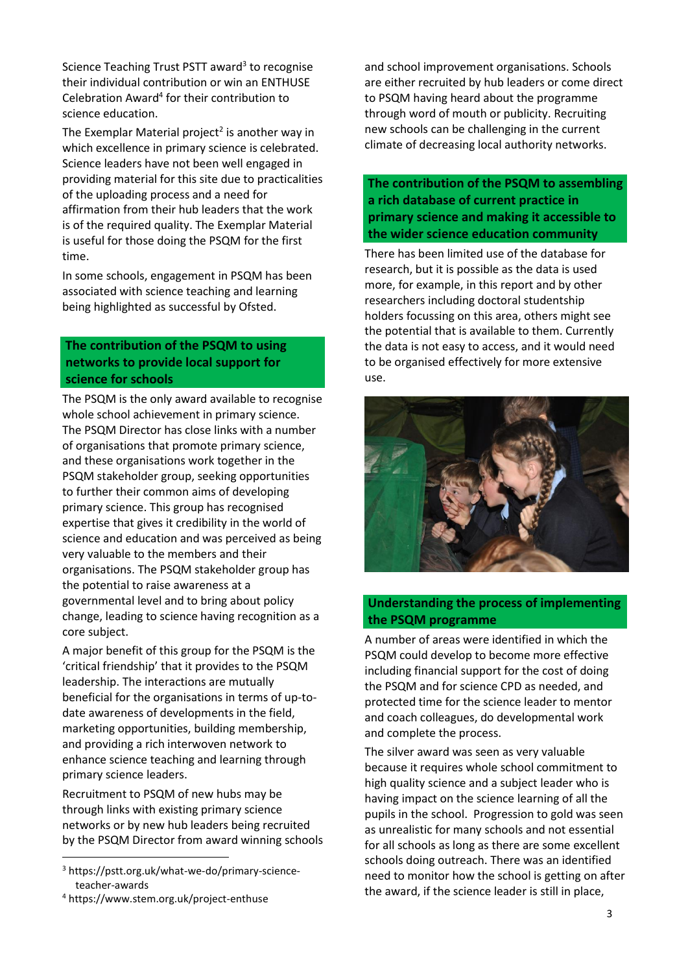Science Teaching Trust PSTT award<sup>3</sup> to recognise their individual contribution or win an ENTHUSE Celebration Award<sup>4</sup> for their contribution to science education.

The Exemplar Material project<sup>2</sup> is another way in which excellence in primary science is celebrated. Science leaders have not been well engaged in providing material for this site due to practicalities of the uploading process and a need for affirmation from their hub leaders that the work is of the required quality. The Exemplar Material is useful for those doing the PSQM for the first time.

In some schools, engagement in PSQM has been associated with science teaching and learning being highlighted as successful by Ofsted.

### **The contribution of the PSQM to using networks to provide local support for science for schools**

The PSQM is the only award available to recognise whole school achievement in primary science. The PSQM Director has close links with a number of organisations that promote primary science, and these organisations work together in the PSQM stakeholder group, seeking opportunities to further their common aims of developing primary science. This group has recognised expertise that gives it credibility in the world of science and education and was perceived as being very valuable to the members and their organisations. The PSQM stakeholder group has the potential to raise awareness at a governmental level and to bring about policy change, leading to science having recognition as a core subject.

A major benefit of this group for the PSQM is the 'critical friendship' that it provides to the PSQM leadership. The interactions are mutually beneficial for the organisations in terms of up-todate awareness of developments in the field, marketing opportunities, building membership, and providing a rich interwoven network to enhance science teaching and learning through primary science leaders.

Recruitment to PSQM of new hubs may be through links with existing primary science networks or by new hub leaders being recruited by the PSQM Director from award winning schools

 $\overline{a}$ 

and school improvement organisations. Schools are either recruited by hub leaders or come direct to PSQM having heard about the programme through word of mouth or publicity. Recruiting new schools can be challenging in the current climate of decreasing local authority networks.

**The contribution of the PSQM to assembling a rich database of current practice in primary science and making it accessible to the wider science education community**

There has been limited use of the database for research, but it is possible as the data is used more, for example, in this report and by other researchers including doctoral studentship holders focussing on this area, others might see the potential that is available to them. Currently the data is not easy to access, and it would need to be organised effectively for more extensive use.



## **Understanding the process of implementing the PSQM programme**

A number of areas were identified in which the PSQM could develop to become more effective including financial support for the cost of doing the PSQM and for science CPD as needed, and protected time for the science leader to mentor and coach colleagues, do developmental work and complete the process.

The silver award was seen as very valuable because it requires whole school commitment to high quality science and a subject leader who is having impact on the science learning of all the pupils in the school. Progression to gold was seen as unrealistic for many schools and not essential for all schools as long as there are some excellent schools doing outreach. There was an identified need to monitor how the school is getting on after the award, if the science leader is still in place,

<sup>3</sup> https://pstt.org.uk/what-we-do/primary-scienceteacher-awards

<sup>4</sup> https://www.stem.org.uk/project-enthuse